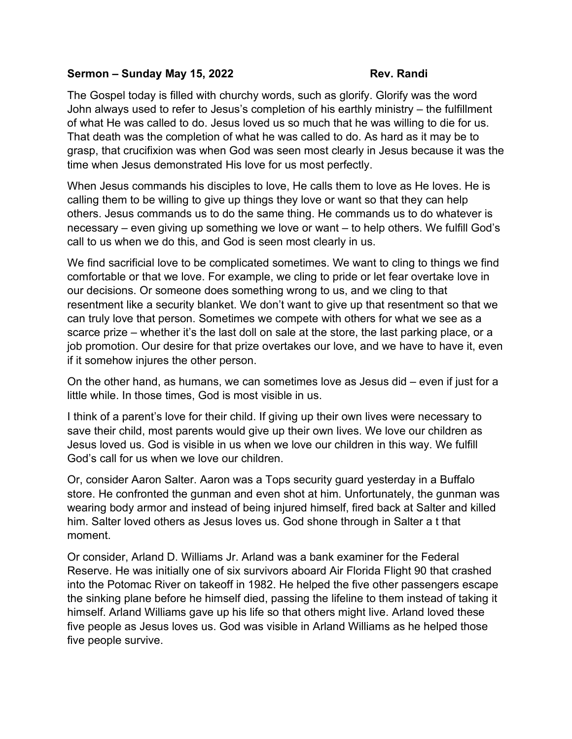## **Sermon – Sunday May 15, 2022 Rev. Randi**

The Gospel today is filled with churchy words, such as glorify. Glorify was the word John always used to refer to Jesus's completion of his earthly ministry – the fulfillment of what He was called to do. Jesus loved us so much that he was willing to die for us. That death was the completion of what he was called to do. As hard as it may be to grasp, that crucifixion was when God was seen most clearly in Jesus because it was the time when Jesus demonstrated His love for us most perfectly.

When Jesus commands his disciples to love, He calls them to love as He loves. He is calling them to be willing to give up things they love or want so that they can help others. Jesus commands us to do the same thing. He commands us to do whatever is necessary – even giving up something we love or want – to help others. We fulfill God's call to us when we do this, and God is seen most clearly in us.

We find sacrificial love to be complicated sometimes. We want to cling to things we find comfortable or that we love. For example, we cling to pride or let fear overtake love in our decisions. Or someone does something wrong to us, and we cling to that resentment like a security blanket. We don't want to give up that resentment so that we can truly love that person. Sometimes we compete with others for what we see as a scarce prize – whether it's the last doll on sale at the store, the last parking place, or a job promotion. Our desire for that prize overtakes our love, and we have to have it, even if it somehow injures the other person.

On the other hand, as humans, we can sometimes love as Jesus did – even if just for a little while. In those times, God is most visible in us.

I think of a parent's love for their child. If giving up their own lives were necessary to save their child, most parents would give up their own lives. We love our children as Jesus loved us. God is visible in us when we love our children in this way. We fulfill God's call for us when we love our children.

Or, consider Aaron Salter. Aaron was a Tops security guard yesterday in a Buffalo store. He confronted the gunman and even shot at him. Unfortunately, the gunman was wearing body armor and instead of being injured himself, fired back at Salter and killed him. Salter loved others as Jesus loves us. God shone through in Salter a t that moment.

Or consider, Arland D. Williams Jr. Arland was a bank examiner for the Federal Reserve. He was initially one of six survivors aboard Air Florida Flight 90 that crashed into the Potomac River on takeoff in 1982. He helped the five other passengers escape the sinking plane before he himself died, passing the lifeline to them instead of taking it himself. Arland Williams gave up his life so that others might live. Arland loved these five people as Jesus loves us. God was visible in Arland Williams as he helped those five people survive.